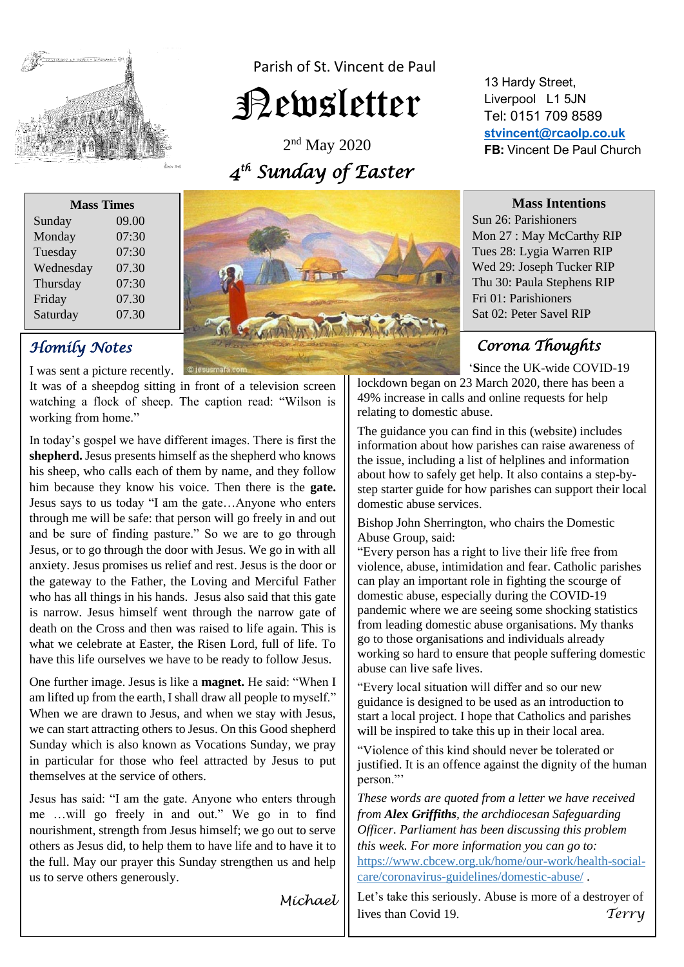

Parish of St. Vincent de Paul

# Newsletter

2<sup>nd</sup> May 2020  *4 th Sunday of Easter* 

| <b>Mass Times</b> |       |
|-------------------|-------|
| Sunday            | 09.00 |
| Monday            | 07:30 |
| Tuesday           | 07:30 |
| Wednesday         | 07.30 |
| Thursday          | 07:30 |
| Friday            | 07.30 |
| Saturday          | 07.30 |
|                   |       |

### *Homily Notes*

I was sent a picture recently. **O Jesusmata.co** 

It was of a sheepdog sitting in front of a television screen watching a flock of sheep. The caption read: "Wilson is working from home."

In today's gospel we have different images. There is first the **shepherd.** Jesus presents himself as the shepherd who knows his sheep, who calls each of them by name, and they follow him because they know his voice. Then there is the **gate.**  Jesus says to us today "I am the gate…Anyone who enters through me will be safe: that person will go freely in and out and be sure of finding pasture." So we are to go through Jesus, or to go through the door with Jesus. We go in with all anxiety. Jesus promises us relief and rest. Jesus is the door or the gateway to the Father, the Loving and Merciful Father who has all things in his hands. Jesus also said that this gate is narrow. Jesus himself went through the narrow gate of death on the Cross and then was raised to life again. This is what we celebrate at Easter, the Risen Lord, full of life. To have this life ourselves we have to be ready to follow Jesus.

One further image. Jesus is like a **magnet.** He said: "When I am lifted up from the earth, I shall draw all people to myself." When we are drawn to Jesus, and when we stay with Jesus, we can start attracting others to Jesus. On this Good shepherd Sunday which is also known as Vocations Sunday, we pray in particular for those who feel attracted by Jesus to put themselves at the service of others.

Jesus has said: "I am the gate. Anyone who enters through me …will go freely in and out." We go in to find nourishment, strength from Jesus himself; we go out to serve others as Jesus did, to help them to have life and to have it to the full. May our prayer this Sunday strengthen us and help us to serve others generously.

*Michael* 

13 Hardy Street, Liverpool L1 5JN Tel: 0151 709 8589 **[stvincent@rcaolp.co.uk](mailto:stvincent@rcaolp.co.uk) FB:** Vincent De Paul Church



**Mass Intentions** Sun 26: Parishioners Mon 27 : May McCarthy RIP Tues 28: Lygia Warren RIP Wed 29: Joseph Tucker RIP Thu 30: Paula Stephens RIP Fri 01: Parishioners

## *Corona Thoughts*

Sat 02: Peter Savel RIP

' '**S**ince the UK-wide COVID-19

lockdown began on 23 March 2020, there has been a 49% increase in calls and online requests for help relating to domestic abuse.

The guidance you can find in this (website) includes information about [how parishes can raise awareness](https://www.cbcew.org.uk/home/our-work/health-social-care/coronavirus-guidelines/domestic-abuse/what-can-parishes-do/) of the issue, including a list of helplines and information about how to safely get help. It also contains a [step-by](https://www.cbcew.org.uk/home/our-work/health-social-care/coronavirus-guidelines/domestic-abuse/support-local-domestic-abuse-charities-and-refuges/)[step starter guide](https://www.cbcew.org.uk/home/our-work/health-social-care/coronavirus-guidelines/domestic-abuse/support-local-domestic-abuse-charities-and-refuges/) for how parishes can support their local domestic abuse services.

Bishop John Sherrington, who chairs the Domestic Abuse Group, said:

"Every person has a right to live their life free from violence, abuse, intimidation and fear. Catholic parishes can play an important role in fighting the scourge of domestic abuse, especially during the COVID-19 pandemic where we are seeing some shocking statistics from leading domestic abuse organisations. My thanks go to those organisations and individuals already working so hard to ensure that people suffering domestic abuse can live safe lives.

"Every local situation will differ and so our new guidance is designed to be used as an introduction to start a local project. I hope that Catholics and parishes will be inspired to take this up in their local area.

"Violence of this kind should never be tolerated or justified. It is an offence against the dignity of the human person."'

*These words are quoted from a letter we have received from Alex Griffiths, the archdiocesan Safeguarding Officer. Parliament has been discussing this problem this week. For more information you can go to:*  [https://www.cbcew.org.uk/home/our-work/health-social](https://www.cbcew.org.uk/home/our-work/health-social-care/coronavirus-guidelines/domestic-abuse/)[care/coronavirus-guidelines/domestic-abuse/](https://www.cbcew.org.uk/home/our-work/health-social-care/coronavirus-guidelines/domestic-abuse/) .

Let's take this seriously. Abuse is more of a destroyer of lives than Covid 19. *Terry*